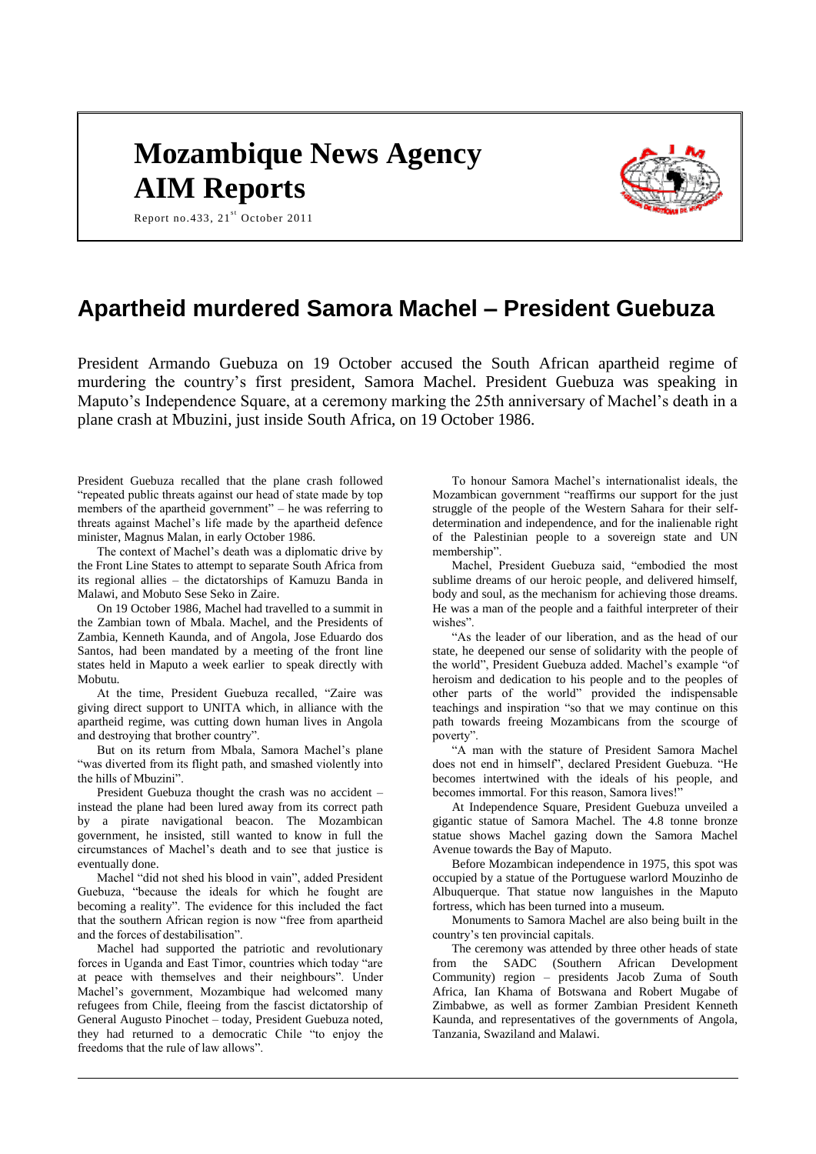# **Mozambique News Agency AIM Reports**



Report no.433,  $21<sup>st</sup>$  October 2011

## **Apartheid murdered Samora Machel – President Guebuza**

President Armando Guebuza on 19 October accused the South African apartheid regime of murdering the country's first president, Samora Machel. President Guebuza was speaking in Maputo's Independence Square, at a ceremony marking the 25th anniversary of Machel's death in a plane crash at Mbuzini, just inside South Africa, on 19 October 1986.

President Guebuza recalled that the plane crash followed "repeated public threats against our head of state made by top members of the apartheid government" – he was referring to threats against Machel's life made by the apartheid defence minister, Magnus Malan, in early October 1986.

The context of Machel's death was a diplomatic drive by the Front Line States to attempt to separate South Africa from its regional allies – the dictatorships of Kamuzu Banda in Malawi, and Mobuto Sese Seko in Zaire.

On 19 October 1986, Machel had travelled to a summit in the Zambian town of Mbala. Machel, and the Presidents of Zambia, Kenneth Kaunda, and of Angola, Jose Eduardo dos Santos, had been mandated by a meeting of the front line states held in Maputo a week earlier to speak directly with Mobutu.

At the time, President Guebuza recalled, "Zaire was giving direct support to UNITA which, in alliance with the apartheid regime, was cutting down human lives in Angola and destroying that brother country".

But on its return from Mbala, Samora Machel's plane "was diverted from its flight path, and smashed violently into the hills of Mbuzini".

President Guebuza thought the crash was no accident – instead the plane had been lured away from its correct path by a pirate navigational beacon. The Mozambican government, he insisted, still wanted to know in full the circumstances of Machel's death and to see that justice is eventually done.

Machel "did not shed his blood in vain", added President Guebuza, "because the ideals for which he fought are becoming a reality". The evidence for this included the fact that the southern African region is now "free from apartheid and the forces of destabilisation".

Machel had supported the patriotic and revolutionary forces in Uganda and East Timor, countries which today "are at peace with themselves and their neighbours". Under Machel's government, Mozambique had welcomed many refugees from Chile, fleeing from the fascist dictatorship of General Augusto Pinochet – today, President Guebuza noted, they had returned to a democratic Chile "to enjoy the freedoms that the rule of law allows".

To honour Samora Machel's internationalist ideals, the Mozambican government "reaffirms our support for the just struggle of the people of the Western Sahara for their selfdetermination and independence, and for the inalienable right of the Palestinian people to a sovereign state and UN membership".

Machel, President Guebuza said, "embodied the most sublime dreams of our heroic people, and delivered himself, body and soul, as the mechanism for achieving those dreams. He was a man of the people and a faithful interpreter of their wishes".

"As the leader of our liberation, and as the head of our state, he deepened our sense of solidarity with the people of the world", President Guebuza added. Machel's example "of heroism and dedication to his people and to the peoples of other parts of the world" provided the indispensable teachings and inspiration "so that we may continue on this path towards freeing Mozambicans from the scourge of poverty".

"A man with the stature of President Samora Machel does not end in himself", declared President Guebuza. "He becomes intertwined with the ideals of his people, and becomes immortal. For this reason, Samora lives!

At Independence Square, President Guebuza unveiled a gigantic statue of Samora Machel. The 4.8 tonne bronze statue shows Machel gazing down the Samora Machel Avenue towards the Bay of Maputo.

Before Mozambican independence in 1975, this spot was occupied by a statue of the Portuguese warlord Mouzinho de Albuquerque. That statue now languishes in the Maputo fortress, which has been turned into a museum.

Monuments to Samora Machel are also being built in the country's ten provincial capitals.

The ceremony was attended by three other heads of state from the SADC (Southern African Development Community) region – presidents Jacob Zuma of South Africa, Ian Khama of Botswana and Robert Mugabe of Zimbabwe, as well as former Zambian President Kenneth Kaunda, and representatives of the governments of Angola, Tanzania, Swaziland and Malawi.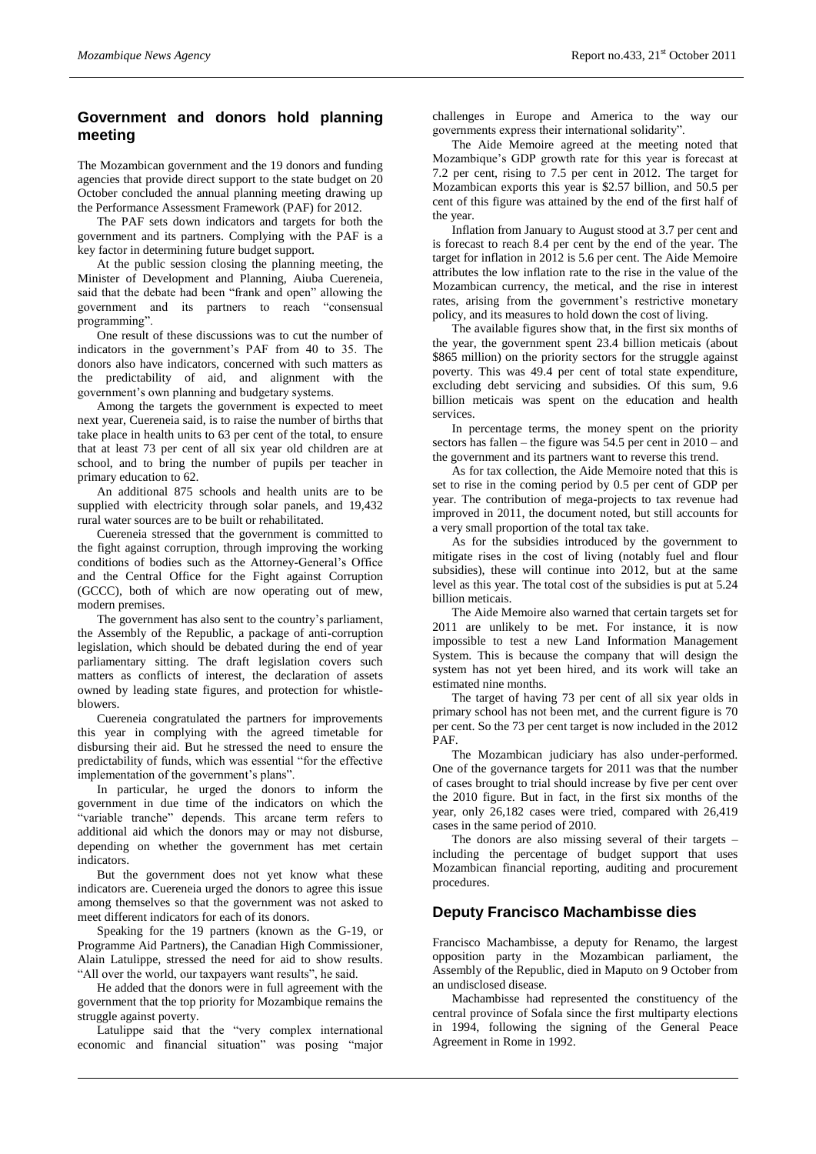## **Government and donors hold planning meeting**

The Mozambican government and the 19 donors and funding agencies that provide direct support to the state budget on 20 October concluded the annual planning meeting drawing up the Performance Assessment Framework (PAF) for 2012.

The PAF sets down indicators and targets for both the government and its partners. Complying with the PAF is a key factor in determining future budget support.

At the public session closing the planning meeting, the Minister of Development and Planning, Aiuba Cuereneia, said that the debate had been "frank and open" allowing the government and its partners to reach "consensual programming".

One result of these discussions was to cut the number of indicators in the government's PAF from 40 to 35. The donors also have indicators, concerned with such matters as the predictability of aid, and alignment with the government's own planning and budgetary systems.

Among the targets the government is expected to meet next year, Cuereneia said, is to raise the number of births that take place in health units to 63 per cent of the total, to ensure that at least 73 per cent of all six year old children are at school, and to bring the number of pupils per teacher in primary education to 62.

An additional 875 schools and health units are to be supplied with electricity through solar panels, and 19,432 rural water sources are to be built or rehabilitated.

Cuereneia stressed that the government is committed to the fight against corruption, through improving the working conditions of bodies such as the Attorney-General's Office and the Central Office for the Fight against Corruption (GCCC), both of which are now operating out of mew, modern premises.

The government has also sent to the country's parliament, the Assembly of the Republic, a package of anti-corruption legislation, which should be debated during the end of year parliamentary sitting. The draft legislation covers such matters as conflicts of interest, the declaration of assets owned by leading state figures, and protection for whistleblowers.

Cuereneia congratulated the partners for improvements this year in complying with the agreed timetable for disbursing their aid. But he stressed the need to ensure the predictability of funds, which was essential "for the effective implementation of the government's plans".

In particular, he urged the donors to inform the government in due time of the indicators on which the "variable tranche" depends. This arcane term refers to additional aid which the donors may or may not disburse, depending on whether the government has met certain indicators.

But the government does not yet know what these indicators are. Cuereneia urged the donors to agree this issue among themselves so that the government was not asked to meet different indicators for each of its donors.

Speaking for the 19 partners (known as the G-19, or Programme Aid Partners), the Canadian High Commissioner, Alain Latulippe, stressed the need for aid to show results. "All over the world, our taxpayers want results", he said.

He added that the donors were in full agreement with the government that the top priority for Mozambique remains the struggle against poverty.

Latulippe said that the "very complex international economic and financial situation" was posing "major

challenges in Europe and America to the way our governments express their international solidarity".

The Aide Memoire agreed at the meeting noted that Mozambique's GDP growth rate for this year is forecast at 7.2 per cent, rising to 7.5 per cent in 2012. The target for Mozambican exports this year is \$2.57 billion, and 50.5 per cent of this figure was attained by the end of the first half of the year.

Inflation from January to August stood at 3.7 per cent and is forecast to reach 8.4 per cent by the end of the year. The target for inflation in 2012 is 5.6 per cent. The Aide Memoire attributes the low inflation rate to the rise in the value of the Mozambican currency, the metical, and the rise in interest rates, arising from the government's restrictive monetary policy, and its measures to hold down the cost of living.

The available figures show that, in the first six months of the year, the government spent 23.4 billion meticais (about \$865 million) on the priority sectors for the struggle against poverty. This was 49.4 per cent of total state expenditure, excluding debt servicing and subsidies. Of this sum, 9.6 billion meticais was spent on the education and health services.

In percentage terms, the money spent on the priority sectors has fallen – the figure was 54.5 per cent in 2010 – and the government and its partners want to reverse this trend.

As for tax collection, the Aide Memoire noted that this is set to rise in the coming period by 0.5 per cent of GDP per year. The contribution of mega-projects to tax revenue had improved in 2011, the document noted, but still accounts for a very small proportion of the total tax take.

As for the subsidies introduced by the government to mitigate rises in the cost of living (notably fuel and flour subsidies), these will continue into 2012, but at the same level as this year. The total cost of the subsidies is put at 5.24 billion meticais.

The Aide Memoire also warned that certain targets set for 2011 are unlikely to be met. For instance, it is now impossible to test a new Land Information Management System. This is because the company that will design the system has not yet been hired, and its work will take an estimated nine months.

The target of having 73 per cent of all six year olds in primary school has not been met, and the current figure is 70 per cent. So the 73 per cent target is now included in the 2012 PAF.

The Mozambican judiciary has also under-performed. One of the governance targets for 2011 was that the number of cases brought to trial should increase by five per cent over the 2010 figure. But in fact, in the first six months of the year, only 26,182 cases were tried, compared with 26,419 cases in the same period of 2010.

The donors are also missing several of their targets – including the percentage of budget support that uses Mozambican financial reporting, auditing and procurement procedures.

## **Deputy Francisco Machambisse dies**

Francisco Machambisse, a deputy for Renamo, the largest opposition party in the Mozambican parliament, the Assembly of the Republic, died in Maputo on 9 October from an undisclosed disease.

Machambisse had represented the constituency of the central province of Sofala since the first multiparty elections in 1994, following the signing of the General Peace Agreement in Rome in 1992.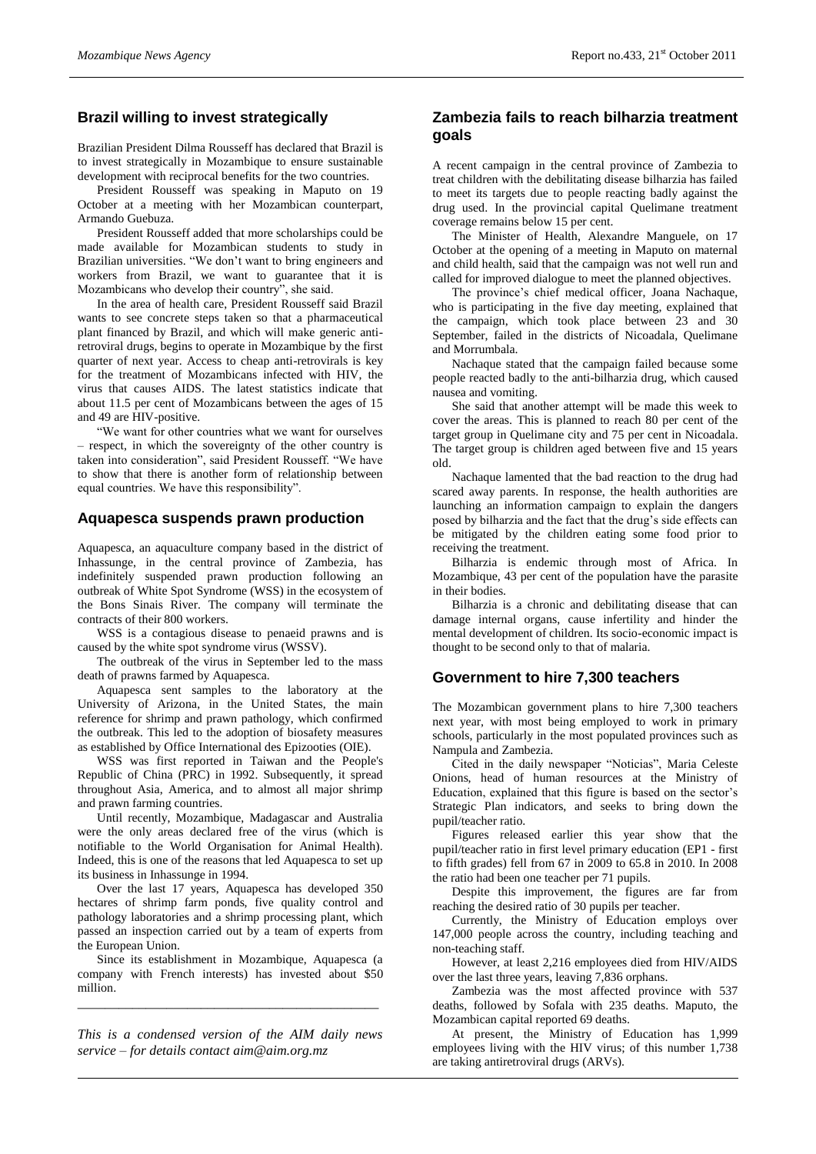## **Brazil willing to invest strategically**

Brazilian President Dilma Rousseff has declared that Brazil is to invest strategically in Mozambique to ensure sustainable development with reciprocal benefits for the two countries.

President Rousseff was speaking in Maputo on 19 October at a meeting with her Mozambican counterpart, Armando Guebuza.

President Rousseff added that more scholarships could be made available for Mozambican students to study in Brazilian universities. "We don't want to bring engineers and workers from Brazil, we want to guarantee that it is Mozambicans who develop their country", she said.

In the area of health care, President Rousseff said Brazil wants to see concrete steps taken so that a pharmaceutical plant financed by Brazil, and which will make generic antiretroviral drugs, begins to operate in Mozambique by the first quarter of next year. Access to cheap anti-retrovirals is key for the treatment of Mozambicans infected with HIV, the virus that causes AIDS. The latest statistics indicate that about 11.5 per cent of Mozambicans between the ages of 15 and 49 are HIV-positive.

"We want for other countries what we want for ourselves – respect, in which the sovereignty of the other country is taken into consideration", said President Rousseff. "We have to show that there is another form of relationship between equal countries. We have this responsibility".

#### **Aquapesca suspends prawn production**

Aquapesca, an aquaculture company based in the district of Inhassunge, in the central province of Zambezia, has indefinitely suspended prawn production following an outbreak of White Spot Syndrome (WSS) in the ecosystem of the Bons Sinais River. The company will terminate the contracts of their 800 workers.

WSS is a contagious disease to penaeid prawns and is caused by the white spot syndrome virus (WSSV).

The outbreak of the virus in September led to the mass death of prawns farmed by Aquapesca.

Aquapesca sent samples to the laboratory at the University of Arizona, in the United States, the main reference for shrimp and prawn pathology, which confirmed the outbreak. This led to the adoption of biosafety measures as established by Office International des Epizooties (OIE).

WSS was first reported in Taiwan and the People's Republic of China (PRC) in 1992. Subsequently, it spread throughout Asia, America, and to almost all major shrimp and prawn farming countries.

Until recently, Mozambique, Madagascar and Australia were the only areas declared free of the virus (which is notifiable to the World Organisation for Animal Health). Indeed, this is one of the reasons that led Aquapesca to set up its business in Inhassunge in 1994.

Over the last 17 years, Aquapesca has developed 350 hectares of shrimp farm ponds, five quality control and pathology laboratories and a shrimp processing plant, which passed an inspection carried out by a team of experts from the European Union.

Since its establishment in Mozambique, Aquapesca (a company with French interests) has invested about \$50 million.

*\_\_\_\_\_\_\_\_\_\_\_\_\_\_\_\_\_\_\_\_\_\_\_\_\_\_\_\_\_\_\_\_\_\_\_\_\_\_\_\_\_\_\_\_*

*This is a condensed version of the AIM daily news service – for details contact [aim@aim.org.mz](mailto:aim@aim.org.mz)*

## **Zambezia fails to reach bilharzia treatment goals**

A recent campaign in the central province of Zambezia to treat children with the debilitating disease bilharzia has failed to meet its targets due to people reacting badly against the drug used. In the provincial capital Quelimane treatment coverage remains below 15 per cent.

The Minister of Health, Alexandre Manguele, on 17 October at the opening of a meeting in Maputo on maternal and child health, said that the campaign was not well run and called for improved dialogue to meet the planned objectives.

The province's chief medical officer, Joana Nachaque, who is participating in the five day meeting, explained that the campaign, which took place between 23 and 30 September, failed in the districts of Nicoadala, Ouelimane and Morrumbala.

Nachaque stated that the campaign failed because some people reacted badly to the anti-bilharzia drug, which caused nausea and vomiting.

She said that another attempt will be made this week to cover the areas. This is planned to reach 80 per cent of the target group in Quelimane city and 75 per cent in Nicoadala. The target group is children aged between five and 15 years old.

Nachaque lamented that the bad reaction to the drug had scared away parents. In response, the health authorities are launching an information campaign to explain the dangers posed by bilharzia and the fact that the drug's side effects can be mitigated by the children eating some food prior to receiving the treatment.

Bilharzia is endemic through most of Africa. In Mozambique, 43 per cent of the population have the parasite in their bodies.

Bilharzia is a chronic and debilitating disease that can damage internal organs, cause infertility and hinder the mental development of children. Its socio-economic impact is thought to be second only to that of malaria.

## **Government to hire 7,300 teachers**

The Mozambican government plans to hire 7,300 teachers next year, with most being employed to work in primary schools, particularly in the most populated provinces such as Nampula and Zambezia.

Cited in the daily newspaper "Noticias", Maria Celeste Onions, head of human resources at the Ministry of Education, explained that this figure is based on the sector's Strategic Plan indicators, and seeks to bring down the pupil/teacher ratio.

Figures released earlier this year show that the pupil/teacher ratio in first level primary education (EP1 - first to fifth grades) fell from 67 in 2009 to 65.8 in 2010. In 2008 the ratio had been one teacher per 71 pupils.

Despite this improvement, the figures are far from reaching the desired ratio of 30 pupils per teacher.

Currently, the Ministry of Education employs over 147,000 people across the country, including teaching and non-teaching staff.

However, at least 2,216 employees died from HIV/AIDS over the last three years, leaving 7,836 orphans.

Zambezia was the most affected province with 537 deaths, followed by Sofala with 235 deaths. Maputo, the Mozambican capital reported 69 deaths.

At present, the Ministry of Education has 1,999 employees living with the HIV virus; of this number 1,738 are taking antiretroviral drugs (ARVs).